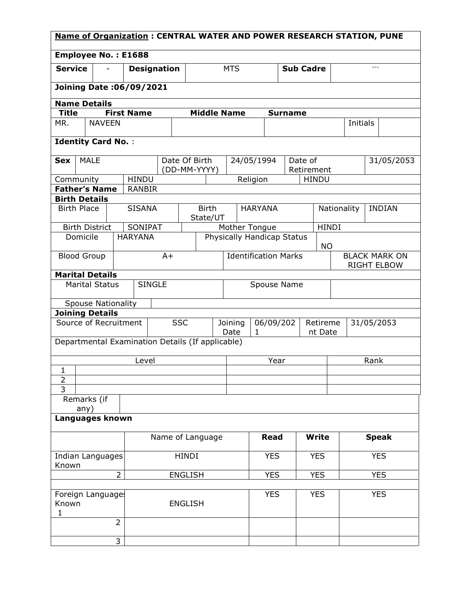| <b>Name of Organization: CENTRAL WATER AND POWER RESEARCH STATION, PUNE</b> |                           |                          |                                                  |                             |                |                    |                 |            |                                            |              |                            |              |              |             |              |               |
|-----------------------------------------------------------------------------|---------------------------|--------------------------|--------------------------------------------------|-----------------------------|----------------|--------------------|-----------------|------------|--------------------------------------------|--------------|----------------------------|--------------|--------------|-------------|--------------|---------------|
| <b>Employee No.: E1688</b>                                                  |                           |                          |                                                  |                             |                |                    |                 |            |                                            |              |                            |              |              |             |              |               |
| <b>Service</b>                                                              |                           | $\overline{\phantom{0}}$ | <b>Designation</b>                               |                             |                |                    |                 | <b>MTS</b> |                                            |              | <b>Sub Cadre</b>           |              |              |             | $---$        |               |
|                                                                             |                           |                          | <b>Joining Date: 06/09/2021</b>                  |                             |                |                    |                 |            |                                            |              |                            |              |              |             |              |               |
|                                                                             | <b>Name Details</b>       |                          |                                                  |                             |                |                    |                 |            |                                            |              |                            |              |              |             |              |               |
| <b>Title</b>                                                                |                           |                          | <b>First Name</b>                                |                             |                | <b>Middle Name</b> |                 |            |                                            |              | <b>Surname</b>             |              |              |             |              |               |
| MR.                                                                         | <b>NAVEEN</b>             |                          |                                                  |                             |                |                    |                 |            |                                            |              |                            |              |              | Initials    |              |               |
|                                                                             | <b>Identity Card No.:</b> |                          |                                                  |                             |                |                    |                 |            |                                            |              |                            |              |              |             |              |               |
| <b>Sex</b>                                                                  | <b>MALE</b>               |                          |                                                  |                             |                | Date Of Birth      |                 |            | 24/05/1994                                 |              | Date of                    |              |              |             |              | 31/05/2053    |
|                                                                             |                           |                          |                                                  |                             |                | (DD-MM-YYYY)       |                 |            |                                            |              |                            | Retirement   |              |             |              |               |
| Community                                                                   |                           |                          | <b>HINDU</b>                                     |                             |                |                    |                 |            | Religion                                   |              |                            | <b>HINDU</b> |              |             |              |               |
|                                                                             | <b>Father's Name</b>      |                          | <b>RANBIR</b>                                    |                             |                |                    |                 |            |                                            |              |                            |              |              |             |              |               |
| <b>Birth Place</b>                                                          | <b>Birth Details</b>      |                          | <b>SISANA</b>                                    |                             |                | <b>Birth</b>       |                 |            | <b>HARYANA</b>                             |              |                            |              |              | Nationality |              | <b>INDIAN</b> |
|                                                                             |                           |                          |                                                  |                             |                | State/UT           |                 |            |                                            |              |                            |              |              |             |              |               |
|                                                                             | <b>Birth District</b>     |                          | SONIPAT                                          |                             |                |                    |                 |            | Mother Tongue                              |              |                            |              | <b>HINDI</b> |             |              |               |
|                                                                             | Domicile                  |                          | <b>HARYANA</b>                                   |                             |                |                    |                 |            |                                            |              | Physically Handicap Status | <b>NO</b>    |              |             |              |               |
| <b>Blood Group</b><br>$A+$                                                  |                           |                          |                                                  | <b>Identification Marks</b> |                |                    |                 |            | <b>BLACK MARK ON</b><br><b>RIGHT ELBOW</b> |              |                            |              |              |             |              |               |
| <b>Marital Details</b>                                                      |                           |                          |                                                  |                             |                |                    |                 |            |                                            |              |                            |              |              |             |              |               |
| <b>SINGLE</b><br><b>Marital Status</b>                                      |                           |                          |                                                  |                             | Spouse Name    |                    |                 |            |                                            |              |                            |              |              |             |              |               |
|                                                                             | <b>Spouse Nationality</b> |                          |                                                  |                             |                |                    |                 |            |                                            |              |                            |              |              |             |              |               |
|                                                                             | <b>Joining Details</b>    |                          |                                                  |                             |                |                    |                 |            |                                            |              |                            |              |              |             |              |               |
| Source of Recruitment                                                       |                           |                          |                                                  | <b>SSC</b>                  |                |                    | Joining<br>Date | 1          | 06/09/202                                  |              | Retireme<br>nt Date        |              |              |             | 31/05/2053   |               |
|                                                                             |                           |                          | Departmental Examination Details (If applicable) |                             |                |                    |                 |            |                                            |              |                            |              |              |             |              |               |
| Level                                                                       |                           |                          |                                                  |                             |                |                    | Year            |            |                                            | Rank         |                            |              |              |             |              |               |
| 1                                                                           |                           |                          |                                                  |                             |                |                    |                 |            |                                            |              |                            |              |              |             |              |               |
| $\overline{2}$<br>3                                                         |                           |                          |                                                  |                             |                |                    |                 |            |                                            |              |                            |              |              |             |              |               |
|                                                                             | Remarks (if<br>any)       |                          |                                                  |                             |                |                    |                 |            |                                            |              |                            |              |              |             |              |               |
| Languages known                                                             |                           |                          |                                                  |                             |                |                    |                 |            |                                            |              |                            |              |              |             |              |               |
|                                                                             |                           |                          | Name of Language                                 |                             |                |                    |                 |            | <b>Read</b>                                | <b>Write</b> |                            |              |              |             | <b>Speak</b> |               |
| Indian Languages                                                            |                           |                          |                                                  |                             | <b>HINDI</b>   |                    |                 |            | <b>YES</b>                                 |              | <b>YES</b>                 |              |              | <b>YES</b>  |              |               |
| Known<br>$\overline{2}$<br><b>ENGLISH</b>                                   |                           |                          |                                                  |                             |                |                    | <b>YES</b>      |            | <b>YES</b>                                 |              |                            |              | <b>YES</b>   |             |              |               |
| Known<br>1                                                                  | Foreign Languages         |                          |                                                  |                             | <b>ENGLISH</b> |                    |                 |            | <b>YES</b>                                 |              | <b>YES</b>                 | <b>YES</b>   |              |             |              |               |
|                                                                             |                           | $\overline{2}$           |                                                  |                             |                |                    |                 |            |                                            |              |                            |              |              |             |              |               |
|                                                                             |                           | 3                        |                                                  |                             |                |                    |                 |            |                                            |              |                            |              |              |             |              |               |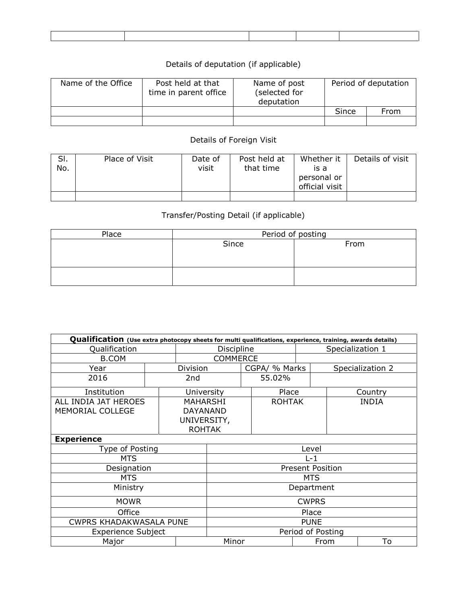## Details of deputation (if applicable)

| Name of the Office | Post held at that<br>time in parent office | Name of post<br>(selected for<br>deputation | Period of deputation |      |  |
|--------------------|--------------------------------------------|---------------------------------------------|----------------------|------|--|
|                    |                                            |                                             | Since                | From |  |
|                    |                                            |                                             |                      |      |  |

## Details of Foreign Visit

| SI.<br>No. | Place of Visit | Date of<br>visit | Post held at<br>that time | Whether it<br>is a<br>personal or<br>official visit | Details of visit |
|------------|----------------|------------------|---------------------------|-----------------------------------------------------|------------------|
|            |                |                  |                           |                                                     |                  |

## Transfer/Posting Detail (if applicable)

| Place | Period of posting |      |  |  |  |  |  |
|-------|-------------------|------|--|--|--|--|--|
|       | Since             | From |  |  |  |  |  |
|       |                   |      |  |  |  |  |  |
|       |                   |      |  |  |  |  |  |
|       |                   |      |  |  |  |  |  |
|       |                   |      |  |  |  |  |  |

| Qualification (Use extra photocopy sheets for multi qualifications, experience, training, awards details) |                     |                 |                         |  |               |                  |  |                  |
|-----------------------------------------------------------------------------------------------------------|---------------------|-----------------|-------------------------|--|---------------|------------------|--|------------------|
| Qualification                                                                                             |                     |                 | Discipline              |  |               | Specialization 1 |  |                  |
| <b>B.COM</b>                                                                                              |                     | <b>COMMERCE</b> |                         |  |               |                  |  |                  |
| Year                                                                                                      |                     | Division        |                         |  | CGPA/ % Marks |                  |  | Specialization 2 |
| 2016                                                                                                      |                     | 2nd             |                         |  | 55.02%        |                  |  |                  |
| Institution                                                                                               |                     | University      |                         |  | Place         |                  |  | Country          |
| ALL INDIA JAT HEROES                                                                                      |                     | MAHARSHI        |                         |  | <b>ROHTAK</b> |                  |  | <b>INDIA</b>     |
| MEMORIAL COLLEGE                                                                                          |                     | <b>DAYANAND</b> |                         |  |               |                  |  |                  |
|                                                                                                           |                     | UNIVERSITY,     |                         |  |               |                  |  |                  |
|                                                                                                           | <b>ROHTAK</b>       |                 |                         |  |               |                  |  |                  |
| <b>Experience</b>                                                                                         |                     |                 |                         |  |               |                  |  |                  |
| Type of Posting                                                                                           |                     |                 | Level                   |  |               |                  |  |                  |
| MTS                                                                                                       |                     |                 | $L-1$                   |  |               |                  |  |                  |
| Designation                                                                                               |                     |                 | <b>Present Position</b> |  |               |                  |  |                  |
| MTS                                                                                                       |                     |                 | MTS.                    |  |               |                  |  |                  |
| Ministry                                                                                                  | Department          |                 |                         |  |               |                  |  |                  |
| <b>MOWR</b>                                                                                               | <b>CWPRS</b>        |                 |                         |  |               |                  |  |                  |
| Office                                                                                                    | Place               |                 |                         |  |               |                  |  |                  |
| <b>CWPRS KHADAKWASALA PUNE</b>                                                                            | <b>PUNE</b>         |                 |                         |  |               |                  |  |                  |
| <b>Experience Subject</b>                                                                                 | Period of Posting   |                 |                         |  |               |                  |  |                  |
| Major                                                                                                     | To<br>Minor<br>From |                 |                         |  |               |                  |  |                  |